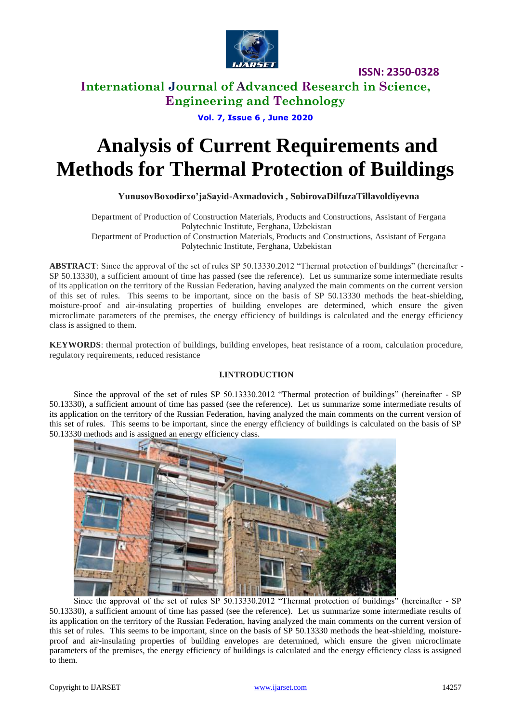

# **International Journal of Advanced Research in Science, Engineering and Technology**

**Vol. 7, Issue 6 , June 2020**

# **Analysis of Current Requirements and Methods for Thermal Protection of Buildings**

## **YunusovBoxodirxo'jaSayid-Axmadovich , SobirovaDilfuzaTillavoldiyevna**

Department of Production of Construction Materials, Products and Constructions, Assistant of Fergana Polytechnic Institute, Ferghana, Uzbekistan Department of Production of Construction Materials, Products and Constructions, Assistant of Fergana Polytechnic Institute, Ferghana, Uzbekistan

**ABSTRACT**: Since the approval of the set of rules SP 50.13330.2012 "Thermal protection of buildings" (hereinafter - SP 50.13330), a sufficient amount of time has passed (see the reference). Let us summarize some intermediate results of its application on the territory of the Russian Federation, having analyzed the main comments on the current version of this set of rules. This seems to be important, since on the basis of SP 50.13330 methods the heat-shielding, moisture-proof and air-insulating properties of building envelopes are determined, which ensure the given microclimate parameters of the premises, the energy efficiency of buildings is calculated and the energy efficiency class is assigned to them.

**KEYWORDS**: thermal protection of buildings, building envelopes, heat resistance of a room, calculation procedure, regulatory requirements, reduced resistance

## **I.INTRODUCTION**

Since the approval of the set of rules SP 50.13330.2012 "Thermal protection of buildings" (hereinafter - SP 50.13330), a sufficient amount of time has passed (see the reference). Let us summarize some intermediate results of its application on the territory of the Russian Federation, having analyzed the main comments on the current version of this set of rules. This seems to be important, since the energy efficiency of buildings is calculated on the basis of SP 50.13330 methods and is assigned an energy efficiency class.



Since the approval of the set of rules SP 50.13330.2012 "Thermal protection of buildings" (hereinafter - SP 50.13330), a sufficient amount of time has passed (see the reference). Let us summarize some intermediate results of its application on the territory of the Russian Federation, having analyzed the main comments on the current version of this set of rules. This seems to be important, since on the basis of SP 50.13330 methods the heat-shielding, moistureproof and air-insulating properties of building envelopes are determined, which ensure the given microclimate parameters of the premises, the energy efficiency of buildings is calculated and the energy efficiency class is assigned to them.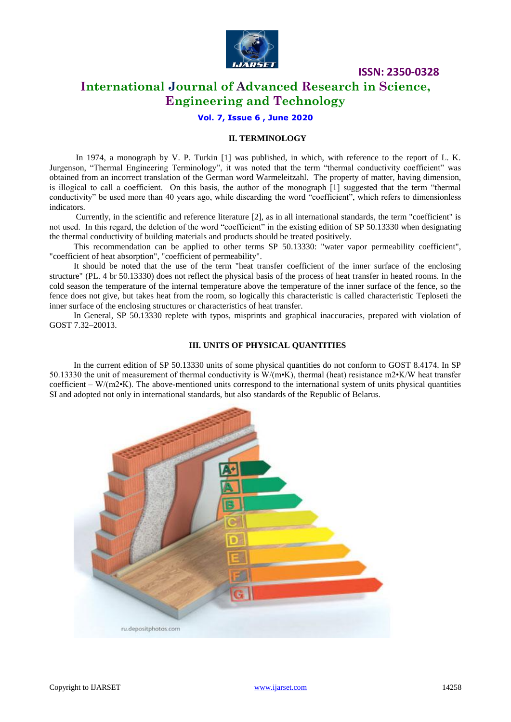

# **International Journal of Advanced Research in Science, Engineering and Technology**

**Vol. 7, Issue 6 , June 2020**

#### **II. TERMINOLOGY**

In 1974, a monograph by V. P. Turkin [1] was published, in which, with reference to the report of L. K. Jurgenson, "Thermal Engineering Terminology", it was noted that the term "thermal conductivity coefficient" was obtained from an incorrect translation of the German word Warmeleitzahl. The property of matter, having dimension, is illogical to call a coefficient. On this basis, the author of the monograph [1] suggested that the term "thermal conductivity" be used more than 40 years ago, while discarding the word "coefficient", which refers to dimensionless indicators.

Currently, in the scientific and reference literature [2], as in all international standards, the term "coefficient" is not used. In this regard, the deletion of the word "coefficient" in the existing edition of SP 50.13330 when designating the thermal conductivity of building materials and products should be treated positively.

This recommendation can be applied to other terms SP 50.13330: "water vapor permeability coefficient", "coefficient of heat absorption", "coefficient of permeability".

It should be noted that the use of the term "heat transfer coefficient of the inner surface of the enclosing structure" (PL. 4 br 50.13330) does not reflect the physical basis of the process of heat transfer in heated rooms. In the cold season the temperature of the internal temperature above the temperature of the inner surface of the fence, so the fence does not give, but takes heat from the room, so logically this characteristic is called characteristic Teploseti the inner surface of the enclosing structures or characteristics of heat transfer.

In General, SP 50.13330 replete with typos, misprints and graphical inaccuracies, prepared with violation of GOST 7.32–20013.

#### **III. UNITS OF PHYSICAL QUANTITIES**

In the current edition of SP 50.13330 units of some physical quantities do not conform to GOST 8.4174. In SP 50.13330 the unit of measurement of thermal conductivity is W/(m•K), thermal (heat) resistance m2•K/W heat transfer coefficient –  $W/(m^2)$ . The above-mentioned units correspond to the international system of units physical quantities SI and adopted not only in international standards, but also standards of the Republic of Belarus.

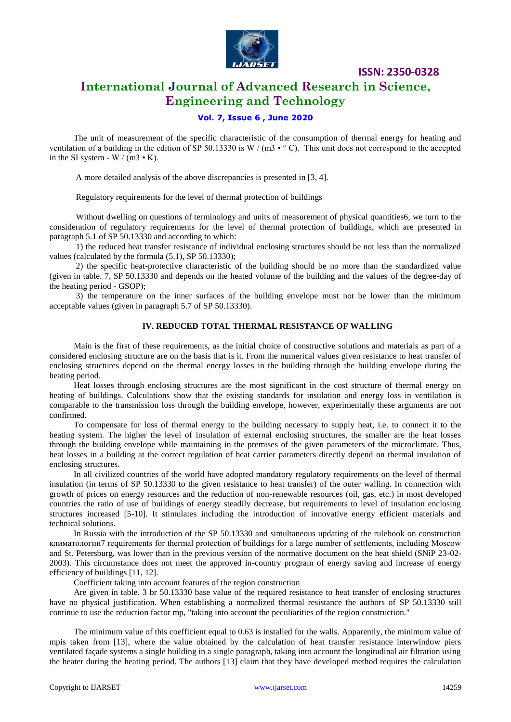

# **International Journal of Advanced Research in Science, Engineering and Technology**

### **Vol. 7, Issue 6 , June 2020**

The unit of measurement of the specific characteristic of the consumption of thermal energy for heating and ventilation of a building in the edition of SP 50.13330 is W / (m3  $\cdot$  ° C). This unit does not correspond to the accepted in the SI system - W  $/(m3 \cdot K)$ .

A more detailed analysis of the above discrepancies is presented in [3, 4].

Regulatory requirements for the level of thermal protection of buildings

Without dwelling on questions of terminology and units of measurement of physical quantities6, we turn to the consideration of regulatory requirements for the level of thermal protection of buildings, which are presented in paragraph 5.1 of SP 50.13330 and according to which:

1) the reduced heat transfer resistance of individual enclosing structures should be not less than the normalized values (calculated by the formula (5.1), SP 50.13330);

2) the specific heat-protective characteristic of the building should be no more than the standardized value (given in table. 7, SP 50.13330 and depends on the heated volume of the building and the values of the degree-day of the heating period - GSOP);

3) the temperature on the inner surfaces of the building envelope must not be lower than the minimum acceptable values (given in paragraph 5.7 of SP 50.13330).

## **IV. REDUCED TOTAL THERMAL RESISTANCE OF WALLING**

Main is the first of these requirements, as the initial choice of constructive solutions and materials as part of a considered enclosing structure are on the basis that is it. From the numerical values given resistance to heat transfer of enclosing structures depend on the thermal energy losses in the building through the building envelope during the heating period.

Heat losses through enclosing structures are the most significant in the cost structure of thermal energy on heating of buildings. Calculations show that the existing standards for insulation and energy loss in ventilation is comparable to the transmission loss through the building envelope, however, experimentally these arguments are not confirmed.

To compensate for loss of thermal energy to the building necessary to supply heat, i.e. to connect it to the heating system. The higher the level of insulation of external enclosing structures, the smaller are the heat losses through the building envelope while maintaining in the premises of the given parameters of the microclimate. Thus, heat losses in a building at the correct regulation of heat carrier parameters directly depend on thermal insulation of enclosing structures.

In all civilized countries of the world have adopted mandatory regulatory requirements on the level of thermal insulation (in terms of SP 50.13330 to the given resistance to heat transfer) of the outer walling. In connection with growth of prices on energy resources and the reduction of non-renewable resources (oil, gas, etc.) in most developed countries the ratio of use of buildings of energy steadily decrease, but requirements to level of insulation enclosing structures increased [5-10]. It stimulates including the introduction of innovative energy efficient materials and technical solutions.

In Russia with the introduction of the SP 50.13330 and simultaneous updating of the rulebook on construction климатологии7 requirements for thermal protection of buildings for a large number of settlements, including Moscow and St. Petersburg, was lower than in the previous version of the normative document on the heat shield (SNiP 23-02- 2003). This circumstance does not meet the approved in-country program of energy saving and increase of energy efficiency of buildings [11, 12].

Coefficient taking into account features of the region construction

Are given in table. 3 br 50.13330 base value of the required resistance to heat transfer of enclosing structures have no physical justification. When establishing a normalized thermal resistance the authors of SP 50.13330 still continue to use the reduction factor mp, "taking into account the peculiarities of the region construction."

The minimum value of this coefficient equal to 0.63 is installed for the walls. Apparently, the minimum value of mpis taken from [13], where the value obtained by the calculation of heat transfer resistance interwindow piers ventilated façade systems a single building in a single paragraph, taking into account the longitudinal air filtration using the heater during the heating period. The authors [13] claim that they have developed method requires the calculation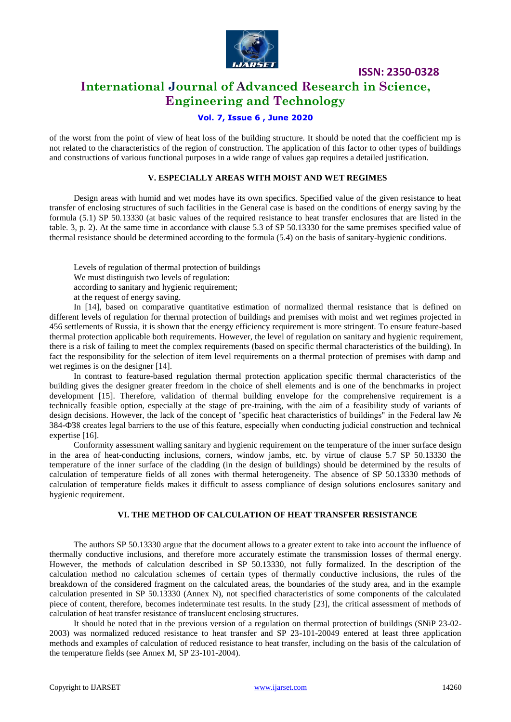

# **International Journal of Advanced Research in Science, Engineering and Technology**

## **Vol. 7, Issue 6 , June 2020**

of the worst from the point of view of heat loss of the building structure. It should be noted that the coefficient mp is not related to the characteristics of the region of construction. The application of this factor to other types of buildings and constructions of various functional purposes in a wide range of values gap requires a detailed justification.

#### **V. ESPECIALLY AREAS WITH MOIST AND WET REGIMES**

Design areas with humid and wet modes have its own specifics. Specified value of the given resistance to heat transfer of enclosing structures of such facilities in the General case is based on the conditions of energy saving by the formula (5.1) SP 50.13330 (at basic values of the required resistance to heat transfer enclosures that are listed in the table. 3, p. 2). At the same time in accordance with clause 5.3 of SP 50.13330 for the same premises specified value of thermal resistance should be determined according to the formula (5.4) on the basis of sanitary-hygienic conditions.

Levels of regulation of thermal protection of buildings We must distinguish two levels of regulation: according to sanitary and hygienic requirement; at the request of energy saving.

In [14], based on comparative quantitative estimation of normalized thermal resistance that is defined on different levels of regulation for thermal protection of buildings and premises with moist and wet regimes projected in 456 settlements of Russia, it is shown that the energy efficiency requirement is more stringent. To ensure feature-based thermal protection applicable both requirements. However, the level of regulation on sanitary and hygienic requirement, there is a risk of failing to meet the complex requirements (based on specific thermal characteristics of the building). In fact the responsibility for the selection of item level requirements on a thermal protection of premises with damp and wet regimes is on the designer [14].

In contrast to feature-based regulation thermal protection application specific thermal characteristics of the building gives the designer greater freedom in the choice of shell elements and is one of the benchmarks in project development [15]. Therefore, validation of thermal building envelope for the comprehensive requirement is a technically feasible option, especially at the stage of pre-training, with the aim of a feasibility study of variants of design decisions. However, the lack of the concept of "specific heat characteristics of buildings" in the Federal law № 384-ФЗ8 creates legal barriers to the use of this feature, especially when conducting judicial construction and technical expertise [16].

Conformity assessment walling sanitary and hygienic requirement on the temperature of the inner surface design in the area of heat-conducting inclusions, corners, window jambs, etc. by virtue of clause 5.7 SP 50.13330 the temperature of the inner surface of the cladding (in the design of buildings) should be determined by the results of calculation of temperature fields of all zones with thermal heterogeneity. The absence of SP 50.13330 methods of calculation of temperature fields makes it difficult to assess compliance of design solutions enclosures sanitary and hygienic requirement.

#### **VI. THE METHOD OF CALCULATION OF HEAT TRANSFER RESISTANCE**

The authors SP 50.13330 argue that the document allows to a greater extent to take into account the influence of thermally conductive inclusions, and therefore more accurately estimate the transmission losses of thermal energy. However, the methods of calculation described in SP 50.13330, not fully formalized. In the description of the calculation method no calculation schemes of certain types of thermally conductive inclusions, the rules of the breakdown of the considered fragment on the calculated areas, the boundaries of the study area, and in the example calculation presented in SP 50.13330 (Annex N), not specified characteristics of some components of the calculated piece of content, therefore, becomes indeterminate test results. In the study [23], the critical assessment of methods of calculation of heat transfer resistance of translucent enclosing structures.

It should be noted that in the previous version of a regulation on thermal protection of buildings (SNiP 23-02- 2003) was normalized reduced resistance to heat transfer and SP 23-101-20049 entered at least three application methods and examples of calculation of reduced resistance to heat transfer, including on the basis of the calculation of the temperature fields (see Annex M, SP 23-101-2004).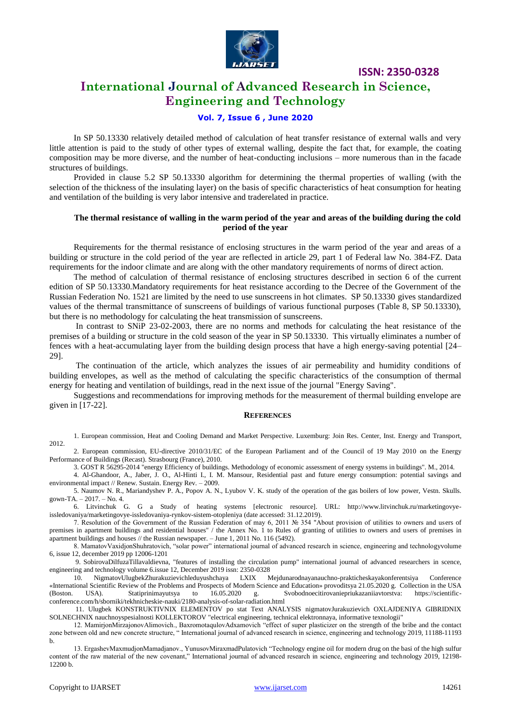

# **International Journal of Advanced Research in Science, Engineering and Technology**

#### **Vol. 7, Issue 6 , June 2020**

In SP 50.13330 relatively detailed method of calculation of heat transfer resistance of external walls and very little attention is paid to the study of other types of external walling, despite the fact that, for example, the coating composition may be more diverse, and the number of heat-conducting inclusions – more numerous than in the facade structures of buildings.

Provided in clause 5.2 SP 50.13330 algorithm for determining the thermal properties of walling (with the selection of the thickness of the insulating layer) on the basis of specific characteristics of heat consumption for heating and ventilation of the building is very labor intensive and traderelated in practice.

#### **The thermal resistance of walling in the warm period of the year and areas of the building during the cold period of the year**

Requirements for the thermal resistance of enclosing structures in the warm period of the year and areas of a building or structure in the cold period of the year are reflected in article 29, part 1 of Federal law No. 384-FZ. Data requirements for the indoor climate and are along with the other mandatory requirements of norms of direct action.

The method of calculation of thermal resistance of enclosing structures described in section 6 of the current edition of SP 50.13330.Mandatory requirements for heat resistance according to the Decree of the Government of the Russian Federation No. 1521 are limited by the need to use sunscreens in hot climates. SP 50.13330 gives standardized values of the thermal transmittance of sunscreens of buildings of various functional purposes (Table 8, SP 50.13330), but there is no methodology for calculating the heat transmission of sunscreens.

In contrast to SNiP 23-02-2003, there are no norms and methods for calculating the heat resistance of the premises of a building or structure in the cold season of the year in SP 50.13330. This virtually eliminates a number of fences with a heat-accumulating layer from the building design process that have a high energy-saving potential [24– 29].

The continuation of the article, which analyzes the issues of air permeability and humidity conditions of building envelopes, as well as the method of calculating the specific characteristics of the consumption of thermal energy for heating and ventilation of buildings, read in the next issue of the journal "Energy Saving".

Suggestions and recommendations for improving methods for the measurement of thermal building envelope are given in [17-22].

#### **REFERENCES**

1. European commission, Heat and Cooling Demand and Market Perspective. Luxemburg: Join Res. Center, Inst. Energy and Transport, 2012.

2. European commission, EU-directive 2010/31/EC of the European Parliament and of the Council of 19 May 2010 on the Energy Performance of Buildings (Recast). Strasbourg (France), 2010.

3. GOST R 56295-2014 "energy Efficiency of buildings. Methodology of economic assessment of energy systems in buildings". M., 2014.

4. Al-Ghandoor, A., Jaber, J. O., Al-Hinti I., I. M. Mansour, Residential past and future energy consumption: potential savings and environmental impact // Renew. Sustain. Energy Rev. – 2009.

5. Naumov N. R., Mariandyshev P. A., Popov A. N., Lyubov V. K. study of the operation of the gas boilers of low power, Vestn. Skulls. gown-TA. – 2017. – No. 4.

6. Litvinchuk G. G a Study of heating systems [electronic resource]. URL: http://www.litvinchuk.ru/marketingovyeissledovaniya/marketingovye-issledovaniya-rynkov-sistem-otopleniya (date accessed: 31.12.2019).

7. Resolution of the Government of the Russian Federation of may 6, 2011 № 354 "About provision of utilities to owners and users of premises in apartment buildings and residential houses" / the Annex No. 1 to Rules of granting of utilities to owners and users of premises in apartment buildings and houses // the Russian newspaper. – June 1, 2011 No. 116 (5492).

8. MamatovVaxidjonShuhratovich, "solar power" international journal of advanced research in science, engineering and technologyvolume 6, issue 12, december 2019 pp 12006-1201

9. SobirovaDilfuzaTillavaldievna, "features of installing the circulation pump" international journal of advanced researchers in scence, engineering and technology volume 6.issue 12, December 2019 issn: 2350-0328

10. NigmatovUlugbekZhurakuzievichleduyushchaya LXIX Mejdunarodnayanauchno-prakticheskayakonferentsiya Conference «International Scientific Review of the Problems and Prospects of Modern Science and Education» provoditsya 21.05.2020 g. Collection in the USA (Boston. USA). Statiprinimayutsya to 16.05.2020 g. Svobodnoecitirovaniepriukazaniiavtorstva: https://scientificconference.com/h/sborniki/tekhnicheskie-nauki/2180-analysis-of-solar-radiation.html

11. Ulugbek KONSTRUKTIVNIX ELEMENTOV po stat Text ANALYSIS nigmatovJurakuzievich OXLAJDENIYA GIBRIDNIX SOLNECHNIX nauchnoyspesialnosti KOLLEKTOROV "electrical engineering, technical elektronnaya, informative texnologii"

12. MamirjonMirzajonovAlimovich., BaxromotaqulovAdxamovich "effect of super plasticizer on the strength of the bribe and the contact zone between old and new concrete structure, " International journal of advanced research in science, engineering and technology 2019, 11188-11193 b.

13. ErgashevMaxmudjonMamadjanov., YunusovMiraxmadPulatovich "Technology engine oil for modern drug on the basi of the high sulfur content of the raw material of the new covenant," International journal of advanced research in science, engineering and technology 2019, 12198- 12200 b.